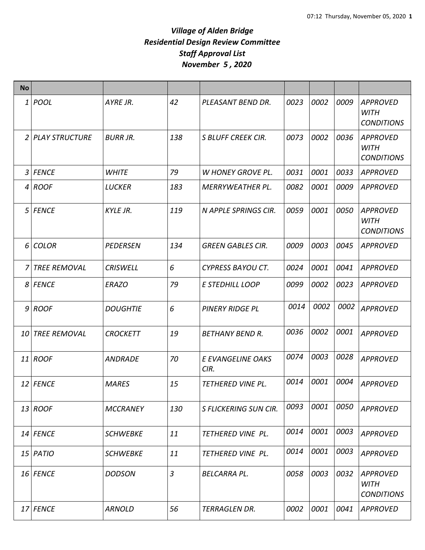| <b>No</b> |                     |                 |                |                           |      |      |      |                                                     |
|-----------|---------------------|-----------------|----------------|---------------------------|------|------|------|-----------------------------------------------------|
|           | $1 $ POOL           | AYRE JR.        | 42             | PLEASANT BEND DR.         | 0023 | 0002 | 0009 | <b>APPROVED</b><br><b>WITH</b><br><b>CONDITIONS</b> |
|           | 2 PLAY STRUCTURE    | <b>BURR JR.</b> | 138            | <b>S BLUFF CREEK CIR.</b> | 0073 | 0002 | 0036 | <b>APPROVED</b><br><b>WITH</b><br><b>CONDITIONS</b> |
|           | 3 FENCE             | <b>WHITE</b>    | 79             | <b>W HONEY GROVE PL.</b>  | 0031 | 0001 | 0033 | <b>APPROVED</b>                                     |
| 4         | ROOF                | LUCKER          | 183            | <b>MERRYWEATHER PL.</b>   | 0082 | 0001 | 0009 | <b>APPROVED</b>                                     |
|           | 5 FENCE             | <b>KYLE JR.</b> | 119            | N APPLE SPRINGS CIR.      | 0059 | 0001 | 0050 | <b>APPROVED</b><br><b>WITH</b><br><b>CONDITIONS</b> |
| 6         | <b>COLOR</b>        | <b>PEDERSEN</b> | 134            | <b>GREEN GABLES CIR.</b>  | 0009 | 0003 | 0045 | <b>APPROVED</b>                                     |
| 7         | <b>TREE REMOVAL</b> | <b>CRISWELL</b> | 6              | <b>CYPRESS BAYOU CT.</b>  | 0024 | 0001 | 0041 | <b>APPROVED</b>                                     |
|           | 8 FENCE             | <b>ERAZO</b>    | 79             | E STEDHILL LOOP           | 0099 | 0002 | 0023 | <b>APPROVED</b>                                     |
|           | $9$ ROOF            | <b>DOUGHTIE</b> | 6              | <b>PINERY RIDGE PL</b>    | 0014 | 0002 | 0002 | <b>APPROVED</b>                                     |
|           | 10 TREE REMOVAL     | <b>CROCKETT</b> | 19             | <b>BETHANY BEND R.</b>    | 0036 | 0002 | 0001 | <b>APPROVED</b>                                     |
|           | 11 ROOF             | <b>ANDRADE</b>  | 70             | E EVANGELINE OAKS<br>CIR. | 0074 | 0003 | 0028 | <b>APPROVED</b>                                     |
|           | 12 FENCE            | <b>MARES</b>    | 15             | TETHERED VINE PL.         | 0014 | 0001 | 0004 | <b>APPROVED</b>                                     |
|           | $13$ ROOF           | <b>MCCRANEY</b> | 130            | S FLICKERING SUN CIR.     | 0093 | 0001 | 0050 | <b>APPROVED</b>                                     |
|           | $14$ FENCE          | <b>SCHWEBKE</b> | 11             | <b>TETHERED VINE PL.</b>  | 0014 | 0001 | 0003 | <b>APPROVED</b>                                     |
|           | 15 PATIO            | <b>SCHWEBKE</b> | 11             | TETHERED VINE PL.         | 0014 | 0001 | 0003 | <b>APPROVED</b>                                     |
|           | 16 FENCE            | <b>DODSON</b>   | $\overline{3}$ | <b>BELCARRA PL.</b>       | 0058 | 0003 | 0032 | <b>APPROVED</b><br><b>WITH</b><br><b>CONDITIONS</b> |
|           | 17 FENCE            | <b>ARNOLD</b>   | 56             | TERRAGLEN DR.             | 0002 | 0001 | 0041 | <b>APPROVED</b>                                     |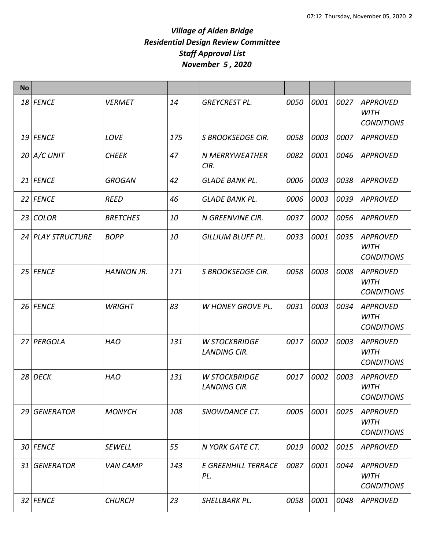| <b>No</b> |                   |                   |     |                                             |      |      |      |                                                     |
|-----------|-------------------|-------------------|-----|---------------------------------------------|------|------|------|-----------------------------------------------------|
|           | 18 FENCE          | <b>VERMET</b>     | 14  | <b>GREYCREST PL.</b>                        | 0050 | 0001 | 0027 | <b>APPROVED</b><br><b>WITH</b><br><b>CONDITIONS</b> |
|           | 19 FENCE          | LOVE              | 175 | S BROOKSEDGE CIR.                           | 0058 | 0003 | 0007 | <b>APPROVED</b>                                     |
|           | $20$ $A/C$ UNIT   | <b>CHEEK</b>      | 47  | <b>N MERRYWEATHER</b><br>CIR.               | 0082 | 0001 | 0046 | <b>APPROVED</b>                                     |
|           | 21 FENCE          | <b>GROGAN</b>     | 42  | <b>GLADE BANK PL.</b>                       | 0006 | 0003 | 0038 | <b>APPROVED</b>                                     |
|           | 22 FENCE          | <b>REED</b>       | 46  | <b>GLADE BANK PL.</b>                       | 0006 | 0003 | 0039 | <b>APPROVED</b>                                     |
|           | 23 COLOR          | <b>BRETCHES</b>   | 10  | N GREENVINE CIR.                            | 0037 | 0002 | 0056 | <b>APPROVED</b>                                     |
|           | 24 PLAY STRUCTURE | <b>BOPP</b>       | 10  | <b>GILLIUM BLUFF PL.</b>                    | 0033 | 0001 | 0035 | <b>APPROVED</b><br><b>WITH</b><br><b>CONDITIONS</b> |
|           | 25 FENCE          | <b>HANNON JR.</b> | 171 | <b>S BROOKSEDGE CIR.</b>                    | 0058 | 0003 | 0008 | <b>APPROVED</b><br><b>WITH</b><br><b>CONDITIONS</b> |
|           | 26 FENCE          | <b>WRIGHT</b>     | 83  | <b>W HONEY GROVE PL.</b>                    | 0031 | 0003 | 0034 | <b>APPROVED</b><br><b>WITH</b><br><b>CONDITIONS</b> |
|           | 27 PERGOLA        | <b>HAO</b>        | 131 | <b>W STOCKBRIDGE</b><br><b>LANDING CIR.</b> | 0017 | 0002 | 0003 | <b>APPROVED</b><br><b>WITH</b><br><b>CONDITIONS</b> |
|           | 28 DECK           | <b>HAO</b>        | 131 | <b>W STOCKBRIDGE</b><br><b>LANDING CIR.</b> | 0017 | 0002 | 0003 | <b>APPROVED</b><br><b>WITH</b><br><b>CONDITIONS</b> |
| 29        | <b>GENERATOR</b>  | <b>MONYCH</b>     | 108 | SNOWDANCE CT.                               | 0005 | 0001 | 0025 | <b>APPROVED</b><br><b>WITH</b><br><b>CONDITIONS</b> |
|           | 30 FENCE          | <b>SEWELL</b>     | 55  | N YORK GATE CT.                             | 0019 | 0002 | 0015 | <b>APPROVED</b>                                     |
| 31 I      | <b>GENERATOR</b>  | <b>VAN CAMP</b>   | 143 | E GREENHILL TERRACE<br>PL.                  | 0087 | 0001 | 0044 | APPROVED<br><b>WITH</b><br><b>CONDITIONS</b>        |
|           | 32 FENCE          | <b>CHURCH</b>     | 23  | SHELLBARK PL.                               | 0058 | 0001 | 0048 | APPROVED                                            |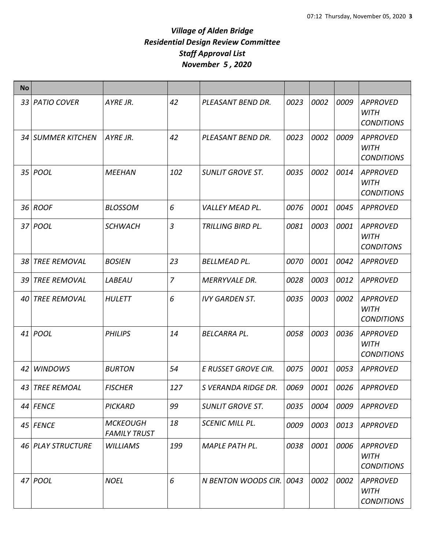| <b>No</b> |                     |                                        |                |                         |      |      |      |                                                     |
|-----------|---------------------|----------------------------------------|----------------|-------------------------|------|------|------|-----------------------------------------------------|
|           | 33 PATIO COVER      | AYRE JR.                               | 42             | PLEASANT BEND DR.       | 0023 | 0002 | 0009 | <b>APPROVED</b><br><b>WITH</b><br><b>CONDITIONS</b> |
|           | 34 SUMMER KITCHEN   | AYRE JR.                               | 42             | PLEASANT BEND DR.       | 0023 | 0002 | 0009 | <b>APPROVED</b><br><b>WITH</b><br><b>CONDITIONS</b> |
|           | 35 <i>POOL</i>      | <b>MEEHAN</b>                          | 102            | <b>SUNLIT GROVE ST.</b> | 0035 | 0002 | 0014 | <b>APPROVED</b><br><b>WITH</b><br><b>CONDITIONS</b> |
|           | 36 ROOF             | <b>BLOSSOM</b>                         | 6              | <b>VALLEY MEAD PL.</b>  | 0076 | 0001 | 0045 | <b>APPROVED</b>                                     |
|           | 37 <i>POOL</i>      | <b>SCHWACH</b>                         | $\overline{3}$ | TRILLING BIRD PL.       | 0081 | 0003 | 0001 | <b>APPROVED</b><br><b>WITH</b><br><b>CONDITONS</b>  |
| 38        | <b>TREE REMOVAL</b> | <b>BOSIEN</b>                          | 23             | <b>BELLMEAD PL.</b>     | 0070 | 0001 | 0042 | <b>APPROVED</b>                                     |
| 39        | <b>TREE REMOVAL</b> | LABEAU                                 | $\overline{7}$ | <b>MERRYVALE DR.</b>    | 0028 | 0003 | 0012 | <b>APPROVED</b>                                     |
| 40        | <b>TREE REMOVAL</b> | <b>HULETT</b>                          | 6              | <b>IVY GARDEN ST.</b>   | 0035 | 0003 | 0002 | <b>APPROVED</b><br><b>WITH</b><br><b>CONDITIONS</b> |
|           | 41 POOL             | <b>PHILIPS</b>                         | 14             | <b>BELCARRA PL.</b>     | 0058 | 0003 | 0036 | <b>APPROVED</b><br><b>WITH</b><br><b>CONDITIONS</b> |
| 42        | <b>WINDOWS</b>      | <b>BURTON</b>                          | 54             | E RUSSET GROVE CIR.     | 0075 | 0001 | 0053 | <b>APPROVED</b>                                     |
|           | 43 TREE REMOAL      | <b>FISCHER</b>                         | 127            | S VERANDA RIDGE DR.     | 0069 | 0001 | 0026 | <b>APPROVED</b>                                     |
|           | 44 FENCE            | <b>PICKARD</b>                         | 99             | <b>SUNLIT GROVE ST.</b> | 0035 | 0004 | 0009 | <b>APPROVED</b>                                     |
|           | 45 FENCE            | <b>MCKEOUGH</b><br><b>FAMILY TRUST</b> | 18             | <b>SCENIC MILL PL.</b>  | 0009 | 0003 | 0013 | APPROVED                                            |
|           | 46 PLAY STRUCTURE   | <b>WILLIAMS</b>                        | 199            | <b>MAPLE PATH PL.</b>   | 0038 | 0001 | 0006 | <b>APPROVED</b><br><b>WITH</b><br><b>CONDITIONS</b> |
|           | 47 POOL             | <b>NOEL</b>                            | 6              | N BENTON WOODS CIR.     | 0043 | 0002 | 0002 | <b>APPROVED</b><br><b>WITH</b><br><b>CONDITIONS</b> |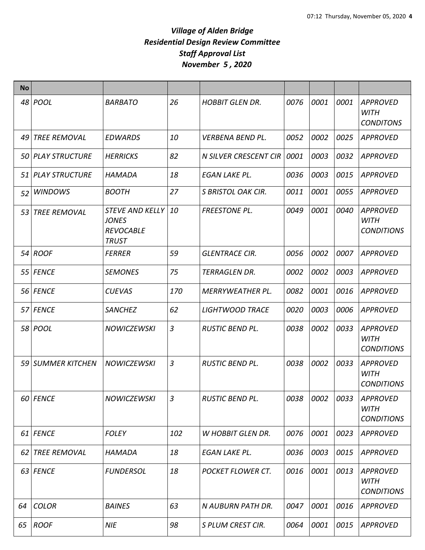| <b>No</b> |                     |                                                                        |                |                              |      |      |      |                                                     |
|-----------|---------------------|------------------------------------------------------------------------|----------------|------------------------------|------|------|------|-----------------------------------------------------|
|           | 48 POOL             | <b>BARBATO</b>                                                         | 26             | <b>HOBBIT GLEN DR.</b>       | 0076 | 0001 | 0001 | <b>APPROVED</b><br><b>WITH</b><br><b>CONDITONS</b>  |
| 49        | <b>TREE REMOVAL</b> | <b>EDWARDS</b>                                                         | 10             | <b>VERBENA BEND PL.</b>      | 0052 | 0002 | 0025 | <b>APPROVED</b>                                     |
|           | 50 PLAY STRUCTURE   | <b>HERRICKS</b>                                                        | 82             | <b>N SILVER CRESCENT CIR</b> | 0001 | 0003 | 0032 | <b>APPROVED</b>                                     |
|           | 51 PLAY STRUCTURE   | HAMADA                                                                 | 18             | EGAN LAKE PL.                | 0036 | 0003 | 0015 | <b>APPROVED</b>                                     |
| 52        | <b>WINDOWS</b>      | <b>BOOTH</b>                                                           | 27             | <b>S BRISTOL OAK CIR.</b>    | 0011 | 0001 | 0055 | <b>APPROVED</b>                                     |
| 53        | <b>TREE REMOVAL</b> | STEVE AND KELLY 10<br><b>JONES</b><br><b>REVOCABLE</b><br><b>TRUST</b> |                | <b>FREESTONE PL.</b>         | 0049 | 0001 | 0040 | <b>APPROVED</b><br><b>WITH</b><br><b>CONDITIONS</b> |
|           | 54 ROOF             | <b>FERRER</b>                                                          | 59             | <b>GLENTRACE CIR.</b>        | 0056 | 0002 | 0007 | <b>APPROVED</b>                                     |
|           | 55 FENCE            | <b>SEMONES</b>                                                         | 75             | TERRAGLEN DR.                | 0002 | 0002 | 0003 | <b>APPROVED</b>                                     |
|           | 56 FENCE            | <b>CUEVAS</b>                                                          | 170            | <b>MERRYWEATHER PL.</b>      | 0082 | 0001 | 0016 | <b>APPROVED</b>                                     |
|           | 57 FENCE            | <b>SANCHEZ</b>                                                         | 62             | <b>LIGHTWOOD TRACE</b>       | 0020 | 0003 | 0006 | <b>APPROVED</b>                                     |
|           | 58 POOL             | <b>NOWICZEWSKI</b>                                                     | $\overline{3}$ | <b>RUSTIC BEND PL.</b>       | 0038 | 0002 | 0033 | <b>APPROVED</b><br><b>WITH</b><br><b>CONDITIONS</b> |
|           | 59 SUMMER KITCHEN   | <b>NOWICZEWSKI</b>                                                     | $\overline{3}$ | <b>RUSTIC BEND PL.</b>       | 0038 | 0002 | 0033 | <b>APPROVED</b><br><b>WITH</b><br><b>CONDITIONS</b> |
|           | 60 FENCE            | <b>NOWICZEWSKI</b>                                                     | $\mathfrak{Z}$ | RUSTIC BEND PL.              | 0038 | 0002 | 0033 | <b>APPROVED</b><br><b>WITH</b><br><b>CONDITIONS</b> |
|           | 61 FENCE            | <b>FOLEY</b>                                                           | 102            | <b>W HOBBIT GLEN DR.</b>     | 0076 | 0001 | 0023 | <b>APPROVED</b>                                     |
|           | 62 TREE REMOVAL     | <b>HAMADA</b>                                                          | 18             | <b>EGAN LAKE PL.</b>         | 0036 | 0003 | 0015 | <b>APPROVED</b>                                     |
|           | 63 FENCE            | <b>FUNDERSOL</b>                                                       | 18             | POCKET FLOWER CT.            | 0016 | 0001 | 0013 | <b>APPROVED</b><br><b>WITH</b><br><b>CONDITIONS</b> |
| 64        | <b>COLOR</b>        | <b>BAINES</b>                                                          | 63             | N AUBURN PATH DR.            | 0047 | 0001 | 0016 | <b>APPROVED</b>                                     |
| 65        | <b>ROOF</b>         | <b>NIE</b>                                                             | 98             | S PLUM CREST CIR.            | 0064 | 0001 | 0015 | <b>APPROVED</b>                                     |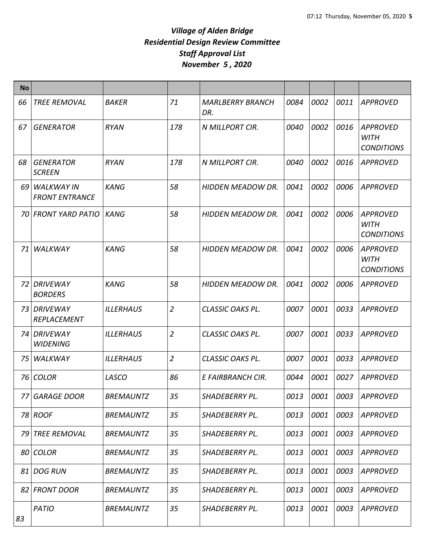| <b>No</b> |                                            |                  |                |                                |      |      |      |                                                     |
|-----------|--------------------------------------------|------------------|----------------|--------------------------------|------|------|------|-----------------------------------------------------|
| 66        | <b>TREE REMOVAL</b>                        | <b>BAKER</b>     | 71             | <b>MARLBERRY BRANCH</b><br>DR. | 0084 | 0002 | 0011 | <b>APPROVED</b>                                     |
| 67        | <b>GENERATOR</b>                           | <b>RYAN</b>      | 178            | N MILLPORT CIR.                | 0040 | 0002 | 0016 | <b>APPROVED</b><br><b>WITH</b><br><b>CONDITIONS</b> |
| 68        | <b>GENERATOR</b><br><b>SCREEN</b>          | <b>RYAN</b>      | 178            | N MILLPORT CIR.                | 0040 | 0002 | 0016 | <b>APPROVED</b>                                     |
| 69        | <b>WALKWAY IN</b><br><b>FRONT ENTRANCE</b> | <b>KANG</b>      | 58             | HIDDEN MEADOW DR.              | 0041 | 0002 | 0006 | <b>APPROVED</b>                                     |
| 70.       | <b>FRONT YARD PATIO</b>                    | <b>KANG</b>      | 58             | <b>HIDDEN MEADOW DR.</b>       | 0041 | 0002 | 0006 | <b>APPROVED</b><br>WITH<br><b>CONDITIONS</b>        |
| 71        | WALKWAY                                    | <b>KANG</b>      | 58             | <b>HIDDEN MEADOW DR.</b>       | 0041 | 0002 | 0006 | <b>APPROVED</b><br><b>WITH</b><br><b>CONDITIONS</b> |
| 72        | DRIVEWAY<br><b>BORDERS</b>                 | <b>KANG</b>      | 58             | <b>HIDDEN MEADOW DR.</b>       | 0041 | 0002 | 0006 | <b>APPROVED</b>                                     |
| 73        | DRIVEWAY<br>REPLACEMENT                    | <b>ILLERHAUS</b> | $\overline{2}$ | CLASSIC OAKS PL.               | 0007 | 0001 | 0033 | <b>APPROVED</b>                                     |
| 74 I      | DRIVEWAY<br><b>WIDENING</b>                | <b>ILLERHAUS</b> | $\overline{2}$ | CLASSIC OAKS PL.               | 0007 | 0001 | 0033 | <b>APPROVED</b>                                     |
| 75        | WALKWAY                                    | <b>ILLERHAUS</b> | $\overline{2}$ | CLASSIC OAKS PL.               | 0007 | 0001 | 0033 | <b>APPROVED</b>                                     |
| 76        | <b>COLOR</b>                               | LASCO            | 86             | E FAIRBRANCH CIR.              | 0044 | 0001 | 0027 | <b>APPROVED</b>                                     |
| 77        | <b>GARAGE DOOR</b>                         | <b>BREMAUNTZ</b> | 35             | SHADEBERRY PL.                 | 0013 | 0001 | 0003 | <b>APPROVED</b>                                     |
|           | 78 ROOF                                    | <b>BREMAUNTZ</b> | 35             | SHADEBERRY PL.                 | 0013 | 0001 | 0003 | <b>APPROVED</b>                                     |
| 79        | <b>TREE REMOVAL</b>                        | <b>BREMAUNTZ</b> | 35             | SHADEBERRY PL.                 | 0013 | 0001 | 0003 | <b>APPROVED</b>                                     |
| 80        | <b>COLOR</b>                               | <b>BREMAUNTZ</b> | 35             | SHADEBERRY PL.                 | 0013 | 0001 | 0003 | <b>APPROVED</b>                                     |
| 81        | <b>DOG RUN</b>                             | <b>BREMAUNTZ</b> | 35             | SHADEBERRY PL.                 | 0013 | 0001 | 0003 | <b>APPROVED</b>                                     |
| 82        | <b>FRONT DOOR</b>                          | <b>BREMAUNTZ</b> | 35             | SHADEBERRY PL.                 | 0013 | 0001 | 0003 | <b>APPROVED</b>                                     |
| 83        | PATIO                                      | <b>BREMAUNTZ</b> | 35             | SHADEBERRY PL.                 | 0013 | 0001 | 0003 | <b>APPROVED</b>                                     |